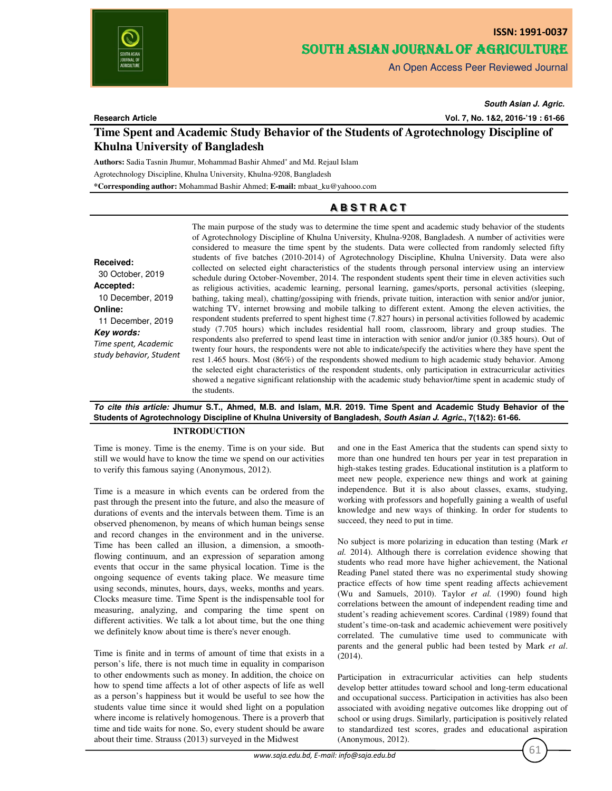

# **ISSN: 1991-0037** SOUTH ASIAN JOURNAL OF AGRICULTURE

An Open Access Peer Reviewed Journal

**Research Article**

*South Asian J. Agric.*

**Vol. 7, No. 1&2, 2016-'19 : 61-66**

## **Time Spent and Academic Study Behavior of the Students of Agrotechnology Discipline of Khulna University of Bangladesh**

**Authors:** Sadia Tasnin Jhumur, Mohammad Bashir Ahmed\* and Md. Rejaul Islam

Agrotechnology Discipline, Khulna University, Khulna-9208, Bangladesh

**\*Corresponding author:** Mohammad Bashir Ahmed; **E-mail:** mbaat\_ku@yahooo.com

## **A B S T R A C T**

**Received:** 30 October, 2019 **Accepted:** 10 December, 2019 **Online:** 11 December, 2019 *Key words: Time spent, Academic study behavior, Student* The main purpose of the study was to determine the time spent and academic study behavior of the students of Agrotechnology Discipline of Khulna University, Khulna-9208, Bangladesh. A number of activities were considered to measure the time spent by the students. Data were collected from randomly selected fifty students of five batches (2010-2014) of Agrotechnology Discipline, Khulna University. Data were also collected on selected eight characteristics of the students through personal interview using an interview schedule during October-November, 2014. The respondent students spent their time in eleven activities such as religious activities, academic learning, personal learning, games/sports, personal activities (sleeping, bathing, taking meal), chatting/gossiping with friends, private tuition, interaction with senior and/or junior, watching TV, internet browsing and mobile talking to different extent. Among the eleven activities, the respondent students preferred to spent highest time (7.827 hours) in personal activities followed by academic study (7.705 hours) which includes residential hall room, classroom, library and group studies. The respondents also preferred to spend least time in interaction with senior and/or junior (0.385 hours). Out of twenty four hours, the respondents were not able to indicate/specify the activities where they have spent the rest 1.465 hours. Most (86%) of the respondents showed medium to high academic study behavior. Among the selected eight characteristics of the respondent students, only participation in extracurricular activities showed a negative significant relationship with the academic study behavior/time spent in academic study of the students.

## *To cite this article:* **Jhumur S.T., Ahmed, M.B. and Islam, M.R. 2019. Time Spent and Academic Study Behavior of the Students of Agrotechnology Discipline of Khulna University of Bangladesh,** *South Asian J. Agric.***, 7(1&2): 61-66.**

## **INTRODUCTION**

Time is money. Time is the enemy. Time is on your side. But still we would have to know the time we spend on our activities to verify this famous saying (Anonymous, 2012).

Time is a measure in which events can be ordered from the past through the present into the future, and also the measure of durations of events and the intervals between them. Time is an observed phenomenon, by means of which human beings sense and record changes in the environment and in the universe. Time has been called an illusion, a dimension, a smoothflowing continuum, and an expression of separation among events that occur in the same physical location. Time is the ongoing sequence of events taking place. We measure time using seconds, minutes, hours, days, weeks, months and years. Clocks measure time. Time Spent is the indispensable tool for measuring, analyzing, and comparing the time spent on different activities. We talk a lot about time, but the one thing we definitely know about time is there's never enough.

Time is finite and in terms of amount of time that exists in a person's life, there is not much time in equality in comparison to other endowments such as money. In addition, the choice on how to spend time affects a lot of other aspects of life as well as a person's happiness but it would be useful to see how the students value time since it would shed light on a population where income is relatively homogenous. There is a proverb that time and tide waits for none. So, every student should be aware about their time. Strauss (2013) surveyed in the Midwest

and one in the East America that the students can spend sixty to more than one hundred ten hours per year in test preparation in high-stakes testing grades. Educational institution is a platform to meet new people, experience new things and work at gaining independence. But it is also about classes, exams, studying, working with professors and hopefully gaining a wealth of useful knowledge and new ways of thinking. In order for students to succeed, they need to put in time.

No subject is more polarizing in education than testing (Mark *et al.* 2014). Although there is correlation evidence showing that students who read more have higher achievement, the National Reading Panel stated there was no experimental study showing practice effects of how time spent reading affects achievement (Wu and Samuels, 2010). Taylor *et al.* (1990) found high correlations between the amount of independent reading time and student's reading achievement scores. Cardinal (1989) found that student's time-on-task and academic achievement were positively correlated. The cumulative time used to communicate with parents and the general public had been tested by Mark *et al*. (2014).

Participation in extracurricular activities can help students develop better attitudes toward school and long-term educational and occupational success. Participation in activities has also been associated with avoiding negative outcomes like dropping out of school or using drugs. Similarly, participation is positively related to standardized test scores, grades and educational aspiration (Anonymous, 2012).

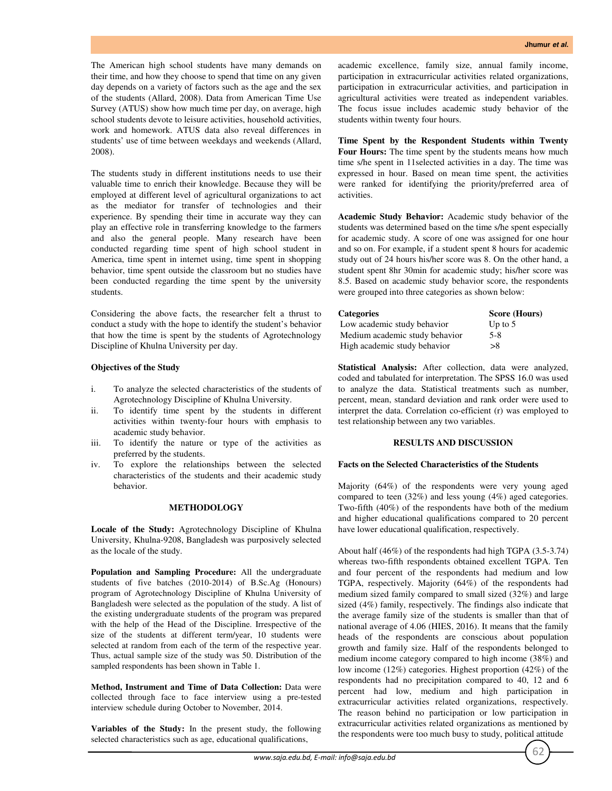The American high school students have many demands on their time, and how they choose to spend that time on any given day depends on a variety of factors such as the age and the sex of the students (Allard, 2008). Data from American Time Use Survey (ATUS) show how much time per day, on average, high school students devote to leisure activities, household activities, work and homework. ATUS data also reveal differences in students' use of time between weekdays and weekends (Allard, 2008).

The students study in different institutions needs to use their valuable time to enrich their knowledge. Because they will be employed at different level of agricultural organizations to act as the mediator for transfer of technologies and their experience. By spending their time in accurate way they can play an effective role in transferring knowledge to the farmers and also the general people. Many research have been conducted regarding time spent of high school student in America, time spent in internet using, time spent in shopping behavior, time spent outside the classroom but no studies have been conducted regarding the time spent by the university students.

Considering the above facts, the researcher felt a thrust to conduct a study with the hope to identify the student's behavior that how the time is spent by the students of Agrotechnology Discipline of Khulna University per day.

## **Objectives of the Study**

- i. To analyze the selected characteristics of the students of Agrotechnology Discipline of Khulna University.
- ii. To identify time spent by the students in different activities within twenty-four hours with emphasis to academic study behavior.
- iii. To identify the nature or type of the activities as preferred by the students.
- iv. To explore the relationships between the selected characteristics of the students and their academic study behavior.

## **METHODOLOGY**

**Locale of the Study:** Agrotechnology Discipline of Khulna University, Khulna-9208, Bangladesh was purposively selected as the locale of the study.

**Population and Sampling Procedure:** All the undergraduate students of five batches (2010-2014) of B.Sc.Ag (Honours) program of Agrotechnology Discipline of Khulna University of Bangladesh were selected as the population of the study. A list of the existing undergraduate students of the program was prepared with the help of the Head of the Discipline. Irrespective of the size of the students at different term/year, 10 students were selected at random from each of the term of the respective year. Thus, actual sample size of the study was 50. Distribution of the sampled respondents has been shown in Table 1.

**Method, Instrument and Time of Data Collection:** Data were collected through face to face interview using a pre-tested interview schedule during October to November, 2014.

**Variables of the Study:** In the present study, the following selected characteristics such as age, educational qualifications,

academic excellence, family size, annual family income, participation in extracurricular activities related organizations, participation in extracurricular activities, and participation in agricultural activities were treated as independent variables. The focus issue includes academic study behavior of the students within twenty four hours.

**Time Spent by the Respondent Students within Twenty Four Hours:** The time spent by the students means how much time s/he spent in 11selected activities in a day. The time was expressed in hour. Based on mean time spent, the activities were ranked for identifying the priority/preferred area of activities.

**Academic Study Behavior:** Academic study behavior of the students was determined based on the time s/he spent especially for academic study. A score of one was assigned for one hour and so on. For example, if a student spent 8 hours for academic study out of 24 hours his/her score was 8. On the other hand, a student spent 8hr 30min for academic study; his/her score was 8.5. Based on academic study behavior score, the respondents were grouped into three categories as shown below:

| <b>Categories</b>              | Score (Hours) |
|--------------------------------|---------------|
| Low academic study behavior    | Up to $5$     |
| Medium academic study behavior | $5 - 8$       |
| High academic study behavior   | >8            |

**Statistical Analysis:** After collection, data were analyzed, coded and tabulated for interpretation. The SPSS 16.0 was used to analyze the data. Statistical treatments such as number, percent, mean, standard deviation and rank order were used to interpret the data. Correlation co-efficient (r) was employed to test relationship between any two variables.

#### **RESULTS AND DISCUSSION**

#### **Facts on the Selected Characteristics of the Students**

Majority (64%) of the respondents were very young aged compared to teen (32%) and less young (4%) aged categories. Two-fifth (40%) of the respondents have both of the medium and higher educational qualifications compared to 20 percent have lower educational qualification, respectively.

About half (46%) of the respondents had high TGPA (3.5-3.74) whereas two-fifth respondents obtained excellent TGPA. Ten and four percent of the respondents had medium and low TGPA, respectively. Majority (64%) of the respondents had medium sized family compared to small sized (32%) and large sized (4%) family, respectively. The findings also indicate that the average family size of the students is smaller than that of national average of 4.06 (HIES, 2016). It means that the family heads of the respondents are conscious about population growth and family size. Half of the respondents belonged to medium income category compared to high income (38%) and low income (12%) categories. Highest proportion (42%) of the respondents had no precipitation compared to 40, 12 and 6 percent had low, medium and high participation in extracurricular activities related organizations, respectively. The reason behind no participation or low participation in extracurricular activities related organizations as mentioned by the respondents were too much busy to study, political attitude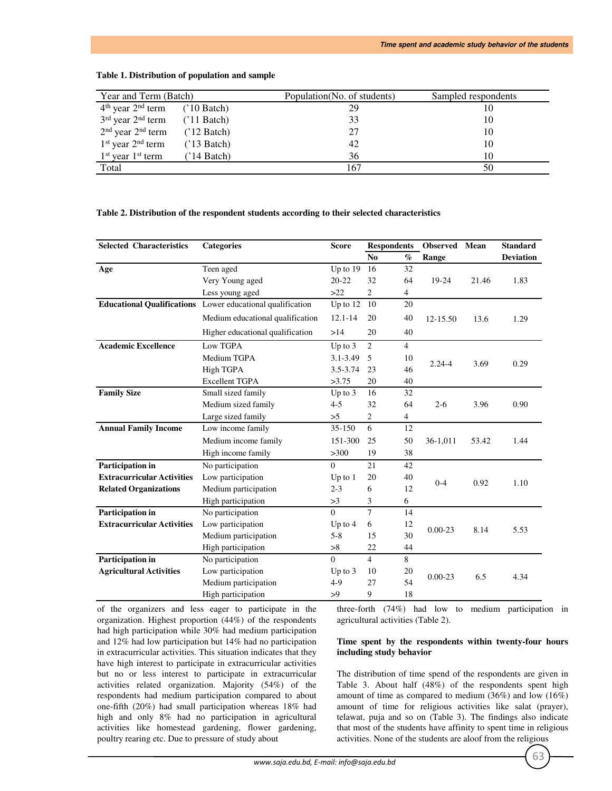| Year and Term (Batch)                     |                      | Population (No. of students) | Sampled respondents |
|-------------------------------------------|----------------------|------------------------------|---------------------|
| $4th$ year $2nd$ term                     | $(10 \text{ Batch})$ | 29                           | 10                  |
| $3rd$ year $2nd$ term                     | $(11 \text{ Batch})$ | 33                           | 10                  |
| $2nd$ year $2nd$ term                     | $(12 \text{ Batch})$ | 27                           | 10                  |
| $1st$ year $2nd$ term                     | $(13 \text{ Batch})$ | 42                           | 10                  |
| 1 <sup>st</sup> year 1 <sup>st</sup> term | $(14 \text{ Batch})$ | 36                           | 10                  |
| Total                                     |                      | 167                          | 50                  |

#### **Table 1. Distribution of population and sample**

### **Table 2. Distribution of the respondent students according to their selected characteristics**

| <b>Selected Characteristics</b>   | <b>Categories</b>                                          | <b>Score</b> | <b>Respondents</b> |                 | <b>Observed</b> Mean |       | <b>Standard</b>  |
|-----------------------------------|------------------------------------------------------------|--------------|--------------------|-----------------|----------------------|-------|------------------|
|                                   |                                                            |              | No                 | $\mathcal{O}_0$ | Range                |       | <b>Deviation</b> |
| Age                               | Teen aged                                                  | Up to 19     | 16                 | 32              |                      |       |                  |
|                                   | Very Young aged                                            | $20 - 22$    | 32                 | 64              | 19-24                | 21.46 | 1.83             |
|                                   | Less young aged                                            | $>22$        | 2                  | $\overline{4}$  |                      |       |                  |
|                                   | Educational Qualifications Lower educational qualification | Up to $12$   | 10                 | 20              |                      |       |                  |
|                                   | Medium educational qualification                           | $12.1 - 14$  | 20                 | 40              | $12 - 15.50$         | 13.6  | 1.29             |
|                                   | Higher educational qualification                           | >14          | 20                 | 40              |                      |       |                  |
| <b>Academic Excellence</b>        | Low TGPA                                                   | Up to $3$    | 2                  | $\overline{4}$  |                      |       |                  |
|                                   | Medium TGPA                                                | $3.1 - 3.49$ | 5                  | 10              | $2.24 - 4$           | 3.69  | 0.29             |
|                                   | High TGPA                                                  | $3.5 - 3.74$ | 23                 | 46              |                      |       |                  |
|                                   | <b>Excellent TGPA</b>                                      | >3.75        | 20                 | 40              |                      |       |                  |
| <b>Family Size</b>                | Small sized family                                         | Up to 3      | 16                 | 32              |                      |       |                  |
|                                   | Medium sized family                                        | $4 - 5$      | 32                 | 64              | $2 - 6$              | 3.96  | 0.90             |
|                                   | Large sized family                                         | >5           | 2                  | $\overline{4}$  |                      |       |                  |
| <b>Annual Family Income</b>       | Low income family                                          | 35-150       | 6                  | 12              |                      |       |                  |
|                                   | Medium income family                                       | 151-300      | 25                 | 50              | 36-1,011             | 53.42 | 1.44             |
|                                   | High income family                                         | >300         | 19                 | 38              |                      |       |                  |
| Participation in                  | No participation                                           | $\Omega$     | 21                 | 42              |                      |       |                  |
| <b>Extracurricular Activities</b> | Low participation                                          | Up to $1$    | 20                 | 40              | $0 - 4$              |       |                  |
| <b>Related Organizations</b>      | Medium participation                                       | $2 - 3$      | 6                  | 12              |                      | 0.92  | 1.10             |
|                                   | High participation                                         | >3           | 3                  | 6               |                      |       |                  |
| Participation in                  | No participation                                           | $\Omega$     | $\tau$             | 14              |                      |       |                  |
| <b>Extracurricular Activities</b> | Low participation                                          | Up to $4$    | 6                  | 12              | $0.00 - 23$          | 8.14  | 5.53             |
|                                   | Medium participation                                       | $5 - 8$      | 15                 | 30              |                      |       |                  |
|                                   | High participation                                         | >8           | 22                 | 44              |                      |       |                  |
| Participation in                  | No participation                                           | $\Omega$     | $\overline{4}$     | 8               |                      |       |                  |
| <b>Agricultural Activities</b>    | Low participation                                          | Up to $3$    | 10                 | 20              | $0.00 - 23$          | 6.5   | 4.34             |
|                                   | Medium participation                                       | $4 - 9$      | 27                 | 54              |                      |       |                  |
|                                   | High participation                                         | >9           | 9                  | 18              |                      |       |                  |

of the organizers and less eager to participate in the organization. Highest proportion (44%) of the respondents had high participation while 30% had medium participation and 12% had low participation but 14% had no participation in extracurricular activities. This situation indicates that they have high interest to participate in extracurricular activities but no or less interest to participate in extracurricular activities related organization. Majority (54%) of the respondents had medium participation compared to about one-fifth (20%) had small participation whereas 18% had high and only 8% had no participation in agricultural activities like homestead gardening, flower gardening, poultry rearing etc. Due to pressure of study about

three-forth (74%) had low to medium participation in agricultural activities (Table 2).

## **Time spent by the respondents within twenty-four hours including study behavior**

The distribution of time spend of the respondents are given in Table 3. About half (48%) of the respondents spent high amount of time as compared to medium (36%) and low (16%) amount of time for religious activities like salat (prayer), telawat, puja and so on (Table 3). The findings also indicate that most of the students have affinity to spent time in religious activities. None of the students are aloof from the religious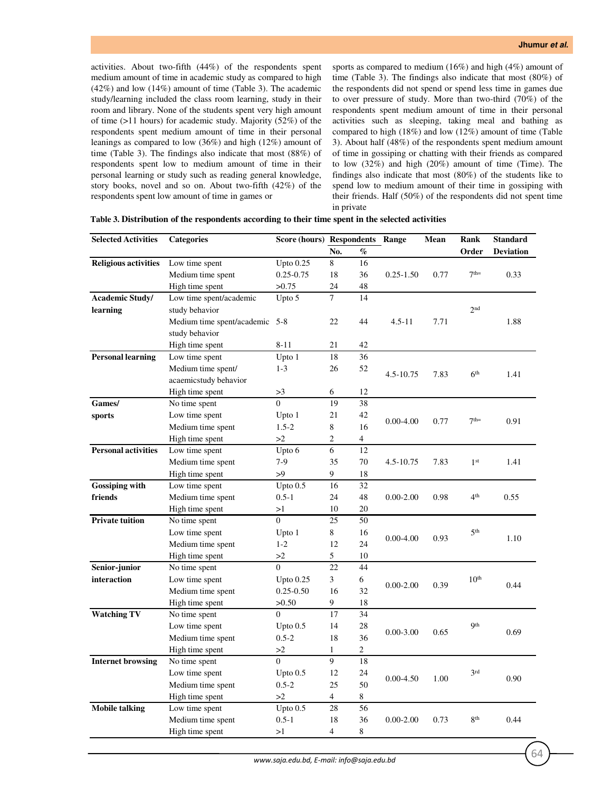activities. About two-fifth (44%) of the respondents spent medium amount of time in academic study as compared to high (42%) and low (14%) amount of time (Table 3). The academic study/learning included the class room learning, study in their room and library. None of the students spent very high amount of time (>11 hours) for academic study. Majority (52%) of the respondents spent medium amount of time in their personal leanings as compared to low (36%) and high (12%) amount of time (Table 3). The findings also indicate that most (88%) of respondents spent low to medium amount of time in their personal learning or study such as reading general knowledge, story books, novel and so on. About two-fifth (42%) of the respondents spent low amount of time in games or

sports as compared to medium (16%) and high (4%) amount of time (Table 3). The findings also indicate that most (80%) of the respondents did not spend or spend less time in games due to over pressure of study. More than two-third (70%) of the respondents spent medium amount of time in their personal activities such as sleeping, taking meal and bathing as compared to high (18%) and low (12%) amount of time (Table 3). About half (48%) of the respondents spent medium amount of time in gossiping or chatting with their friends as compared to low (32%) and high (20%) amount of time (Time). The findings also indicate that most (80%) of the students like to spend low to medium amount of their time in gossiping with their friends. Half (50%) of the respondents did not spent time in private

| <b>Selected Activities</b>  | <b>Categories</b>              | <b>Score (hours) Respondents</b> |                |                | Range         | Mean | Rank             | <b>Standard</b>  |
|-----------------------------|--------------------------------|----------------------------------|----------------|----------------|---------------|------|------------------|------------------|
|                             |                                |                                  | No.            | $\%$           |               |      | Order            | <b>Deviation</b> |
| <b>Religious activities</b> | Low time spent                 | Upto $0.25$                      | 8              | 16             |               |      |                  |                  |
|                             | Medium time spent              | 0.25-0.75                        | 18             | 36             | $0.25 - 1.50$ | 0.77 | 7 <sup>th</sup>  | 0.33             |
|                             | High time spent                | >0.75                            | 24             | 48             |               |      |                  |                  |
| <b>Academic Study/</b>      | Low time spent/academic        | Upto 5                           | $\tau$         | 14             |               |      |                  |                  |
| learning                    | study behavior                 |                                  |                |                |               |      | 2 <sub>nd</sub>  |                  |
|                             | Medium time spent/academic 5-8 |                                  | 22             | 44             | $4.5 - 11$    | 7.71 |                  | 1.88             |
|                             | study behavior                 |                                  |                |                |               |      |                  |                  |
|                             | High time spent                | $8 - 11$                         | 21             | 42             |               |      |                  |                  |
| <b>Personal learning</b>    | Low time spent                 | Upto 1                           | 18             | 36             |               |      |                  |                  |
|                             | Medium time spent/             | $1 - 3$                          | 26             | 52             |               |      |                  |                  |
|                             | acaemicstudy behavior          |                                  |                |                | 4.5-10.75     | 7.83 | 6 <sup>th</sup>  | 1.41             |
|                             | High time spent                | >3                               | 6              | 12             |               |      |                  |                  |
| Games/                      | No time spent                  | $\Omega$                         | 19             | 38             |               |      |                  |                  |
| sports                      | Low time spent                 | Upto 1                           | 21             | 42             |               |      | 7 <sup>th</sup>  |                  |
|                             | Medium time spent              | $1.5 - 2$                        | 8              | 16             | $0.00 - 4.00$ | 0.77 |                  | 0.91             |
|                             | High time spent                | >2                               | 2              | 4              |               |      |                  |                  |
| <b>Personal activities</b>  | Low time spent                 | Upto 6                           | $\epsilon$     | 12             |               |      |                  |                  |
|                             | Medium time spent              | $7-9$                            | 35             | 70             | 4.5-10.75     | 7.83 | 1 <sup>st</sup>  | 1.41             |
|                             | High time spent                | >9                               | 9              | 18             |               |      |                  |                  |
| <b>Gossiping with</b>       | Low time spent                 | Upto $0.5$                       | 16             | 32             |               |      |                  |                  |
| friends                     | Medium time spent              | $0.5 - 1$                        | 24             | 48             | $0.00 - 2.00$ | 0.98 | 4 <sup>th</sup>  | 0.55             |
|                             | High time spent                | >1                               | 10             | 20             |               |      |                  |                  |
| <b>Private tuition</b>      | No time spent                  | $\overline{0}$                   | 25             | 50             |               |      | 5 <sup>th</sup>  |                  |
|                             | Low time spent                 | Upto 1                           | $8\,$          | 16             |               |      |                  |                  |
|                             | Medium time spent              | $1 - 2$                          | 12             | 24             | $0.00 - 4.00$ | 0.93 |                  | 1.10             |
|                             | High time spent                | >2                               | $\mathfrak s$  | 10             |               |      |                  |                  |
| Senior-junior               | No time spent                  | $\Omega$                         | 22             | 44             |               |      |                  |                  |
| interaction                 | Low time spent                 | Upto $0.25$                      | 3              | 6              |               |      | 10 <sup>th</sup> |                  |
|                             | Medium time spent              | $0.25 - 0.50$                    | 16             | 32             | $0.00 - 2.00$ | 0.39 |                  | 0.44             |
|                             | High time spent                | >0.50                            | 9              | 18             |               |      |                  |                  |
| <b>Watching TV</b>          | No time spent                  | $\overline{0}$                   | 17             | 34             |               |      | Qth              | 0.69             |
|                             | Low time spent                 | Upto $0.5$                       | 14             | 28             | $0.00 - 3.00$ |      |                  |                  |
|                             | Medium time spent              | $0.5 - 2$                        | 18             | 36             |               | 0.65 |                  |                  |
|                             | High time spent                | >2                               | $\mathbf{1}$   | $\overline{c}$ |               |      |                  |                  |
| <b>Internet browsing</b>    | No time spent                  | $\Omega$                         | 9              | 18             |               |      |                  |                  |
|                             | Low time spent                 | Upto $0.5$                       | 12             | 24             | $0.00 - 4.50$ | 1.00 | 3 <sup>rd</sup>  | 0.90             |
|                             | Medium time spent              | $0.5 - 2$                        | 25             | 50             |               |      |                  |                  |
|                             | High time spent                | >2                               | $\overline{4}$ | $8\,$          |               |      |                  |                  |
| <b>Mobile talking</b>       | Low time spent                 | Upto $0.5$                       | 28             | 56             |               |      |                  |                  |
|                             | Medium time spent              | $0.5 - 1$                        | 18             | 36             | $0.00 - 2.00$ | 0.73 | 8 <sup>th</sup>  | 0.44             |
|                             | High time spent                | >1                               | 4              | 8              |               |      |                  |                  |

**Table 3. Distribution of the respondents according to their time spent in the selected activities**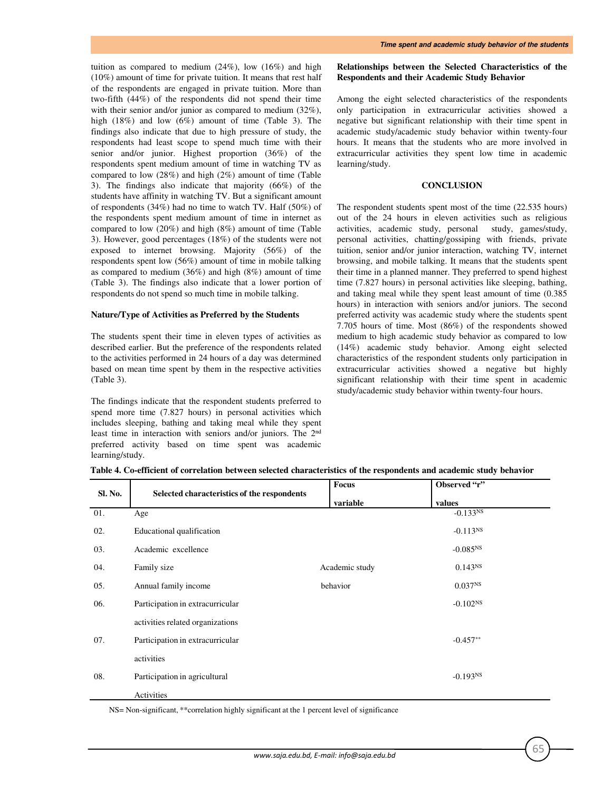tuition as compared to medium  $(24\%)$ , low  $(16\%)$  and high (10%) amount of time for private tuition. It means that rest half of the respondents are engaged in private tuition. More than two-fifth (44%) of the respondents did not spend their time with their senior and/or junior as compared to medium (32%), high (18%) and low (6%) amount of time (Table 3). The findings also indicate that due to high pressure of study, the respondents had least scope to spend much time with their senior and/or junior. Highest proportion (36%) of the respondents spent medium amount of time in watching TV as compared to low (28%) and high (2%) amount of time (Table 3). The findings also indicate that majority (66%) of the students have affinity in watching TV. But a significant amount of respondents (34%) had no time to watch TV. Half (50%) of the respondents spent medium amount of time in internet as compared to low (20%) and high (8%) amount of time (Table 3). However, good percentages (18%) of the students were not exposed to internet browsing. Majority (56%) of the respondents spent low (56%) amount of time in mobile talking as compared to medium (36%) and high (8%) amount of time (Table 3). The findings also indicate that a lower portion of respondents do not spend so much time in mobile talking.

### **Nature/Type of Activities as Preferred by the Students**

The students spent their time in eleven types of activities as described earlier. But the preference of the respondents related to the activities performed in 24 hours of a day was determined based on mean time spent by them in the respective activities (Table 3).

The findings indicate that the respondent students preferred to spend more time (7.827 hours) in personal activities which includes sleeping, bathing and taking meal while they spent least time in interaction with seniors and/or juniors. The 2nd preferred activity based on time spent was academic learning/study.

## **Relationships between the Selected Characteristics of the Respondents and their Academic Study Behavior**

Among the eight selected characteristics of the respondents only participation in extracurricular activities showed a negative but significant relationship with their time spent in academic study/academic study behavior within twenty-four hours. It means that the students who are more involved in extracurricular activities they spent low time in academic learning/study.

## **CONCLUSION**

The respondent students spent most of the time (22.535 hours) out of the 24 hours in eleven activities such as religious activities, academic study, personal study, games/study, personal activities, chatting/gossiping with friends, private tuition, senior and/or junior interaction, watching TV, internet browsing, and mobile talking. It means that the students spent their time in a planned manner. They preferred to spend highest time (7.827 hours) in personal activities like sleeping, bathing, and taking meal while they spent least amount of time (0.385 hours) in interaction with seniors and/or juniors. The second preferred activity was academic study where the students spent 7.705 hours of time. Most (86%) of the respondents showed medium to high academic study behavior as compared to low (14%) academic study behavior. Among eight selected characteristics of the respondent students only participation in extracurricular activities showed a negative but highly significant relationship with their time spent in academic study/academic study behavior within twenty-four hours.

| Sl. No. |                                             | <b>Focus</b>   | Observed "r"        |  |
|---------|---------------------------------------------|----------------|---------------------|--|
|         | Selected characteristics of the respondents | variable       | values              |  |
| 01.     | Age                                         |                | $-0.133NS$          |  |
| 02.     | Educational qualification                   |                | $-0.113^{NS}$       |  |
| 03.     | Academic excellence                         |                | $-0.085^{NS}$       |  |
| 04.     | Family size                                 | Academic study | $0.143^{NS}$        |  |
| 05.     | Annual family income                        | behavior       | 0.037 <sup>NS</sup> |  |
| 06.     | Participation in extracurricular            |                | $-0.102^{NS}$       |  |
|         | activities related organizations            |                |                     |  |
| 07.     | Participation in extracurricular            |                | $-0.457**$          |  |
|         | activities                                  |                |                     |  |
| 08.     | Participation in agricultural               |                | $-0.193NS$          |  |
|         | Activities                                  |                |                     |  |

**Table 4. Co-efficient of correlation between selected characteristics of the respondents and academic study behavior**

NS= Non-significant, \*\*correlation highly significant at the 1 percent level of significance